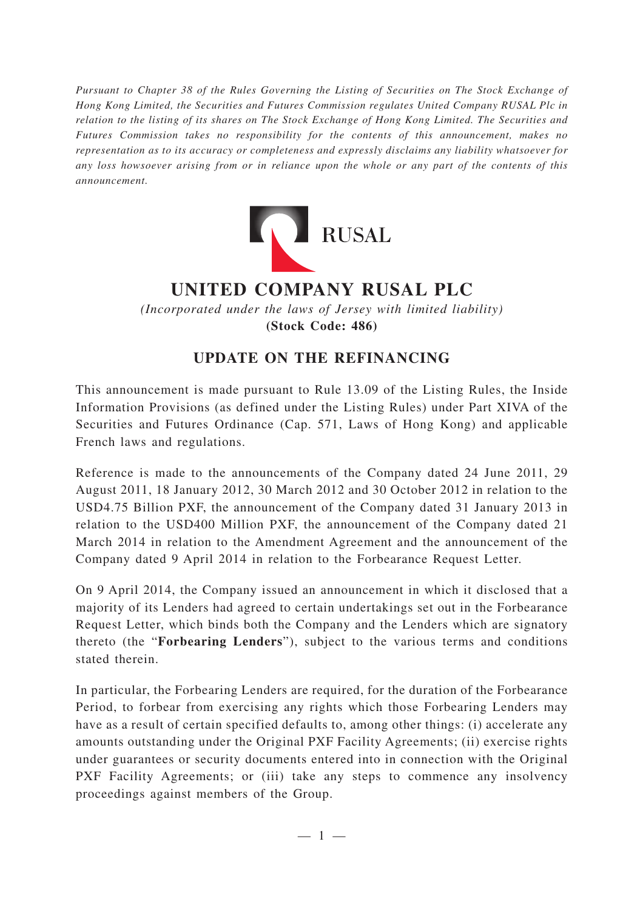*Pursuant to Chapter 38 of the Rules Governing the Listing of Securities on The Stock Exchange of Hong Kong Limited, the Securities and Futures Commission regulates United Company RUSAL Plc in relation to the listing of its shares on The Stock Exchange of Hong Kong Limited. The Securities and Futures Commission takes no responsibility for the contents of this announcement, makes no representation as to its accuracy or completeness and expressly disclaims any liability whatsoever for any loss howsoever arising from or in reliance upon the whole or any part of the contents of this announcement.*



## **UNITED COMPANY RUSAL PLC**

*(Incorporated under the laws of Jersey with limited liability)* **(Stock Code: 486)**

## **UPDATE ON THE REFINANCING**

This announcement is made pursuant to Rule 13.09 of the Listing Rules, the Inside Information Provisions (as defined under the Listing Rules) under Part XIVA of the Securities and Futures Ordinance (Cap. 571, Laws of Hong Kong) and applicable French laws and regulations.

Reference is made to the announcements of the Company dated 24 June 2011, 29 August 2011, 18 January 2012, 30 March 2012 and 30 October 2012 in relation to the USD4.75 Billion PXF, the announcement of the Company dated 31 January 2013 in relation to the USD400 Million PXF, the announcement of the Company dated 21 March 2014 in relation to the Amendment Agreement and the announcement of the Company dated 9 April 2014 in relation to the Forbearance Request Letter.

On 9 April 2014, the Company issued an announcement in which it disclosed that a majority of its Lenders had agreed to certain undertakings set out in the Forbearance Request Letter, which binds both the Company and the Lenders which are signatory thereto (the "**Forbearing Lenders**"), subject to the various terms and conditions stated therein.

In particular, the Forbearing Lenders are required, for the duration of the Forbearance Period, to forbear from exercising any rights which those Forbearing Lenders may have as a result of certain specified defaults to, among other things: (i) accelerate any amounts outstanding under the Original PXF Facility Agreements; (ii) exercise rights under guarantees or security documents entered into in connection with the Original PXF Facility Agreements; or (iii) take any steps to commence any insolvency proceedings against members of the Group.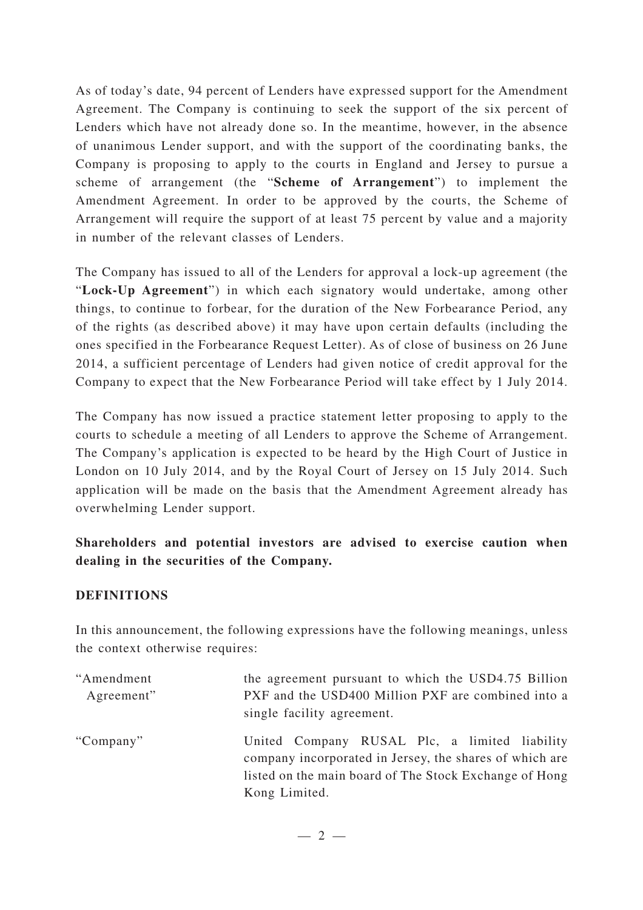As of today's date, 94 percent of Lenders have expressed support for the Amendment Agreement. The Company is continuing to seek the support of the six percent of Lenders which have not already done so. In the meantime, however, in the absence of unanimous Lender support, and with the support of the coordinating banks, the Company is proposing to apply to the courts in England and Jersey to pursue a scheme of arrangement (the "**Scheme of Arrangement**") to implement the Amendment Agreement. In order to be approved by the courts, the Scheme of Arrangement will require the support of at least 75 percent by value and a majority in number of the relevant classes of Lenders.

The Company has issued to all of the Lenders for approval a lock-up agreement (the "**Lock-Up Agreement**") in which each signatory would undertake, among other things, to continue to forbear, for the duration of the New Forbearance Period, any of the rights (as described above) it may have upon certain defaults (including the ones specified in the Forbearance Request Letter). As of close of business on 26 June 2014, a sufficient percentage of Lenders had given notice of credit approval for the Company to expect that the New Forbearance Period will take effect by 1 July 2014.

The Company has now issued a practice statement letter proposing to apply to the courts to schedule a meeting of all Lenders to approve the Scheme of Arrangement. The Company's application is expected to be heard by the High Court of Justice in London on 10 July 2014, and by the Royal Court of Jersey on 15 July 2014. Such application will be made on the basis that the Amendment Agreement already has overwhelming Lender support.

## **Shareholders and potential investors are advised to exercise caution when dealing in the securities of the Company.**

## **DEFINITIONS**

In this announcement, the following expressions have the following meanings, unless the context otherwise requires:

| "Amendment<br>Agreement" | the agreement pursuant to which the USD4.75 Billion<br>PXF and the USD400 Million PXF are combined into a<br>single facility agreement.                                             |
|--------------------------|-------------------------------------------------------------------------------------------------------------------------------------------------------------------------------------|
| "Company"                | United Company RUSAL Plc, a limited liability<br>company incorporated in Jersey, the shares of which are<br>listed on the main board of The Stock Exchange of Hong<br>Kong Limited. |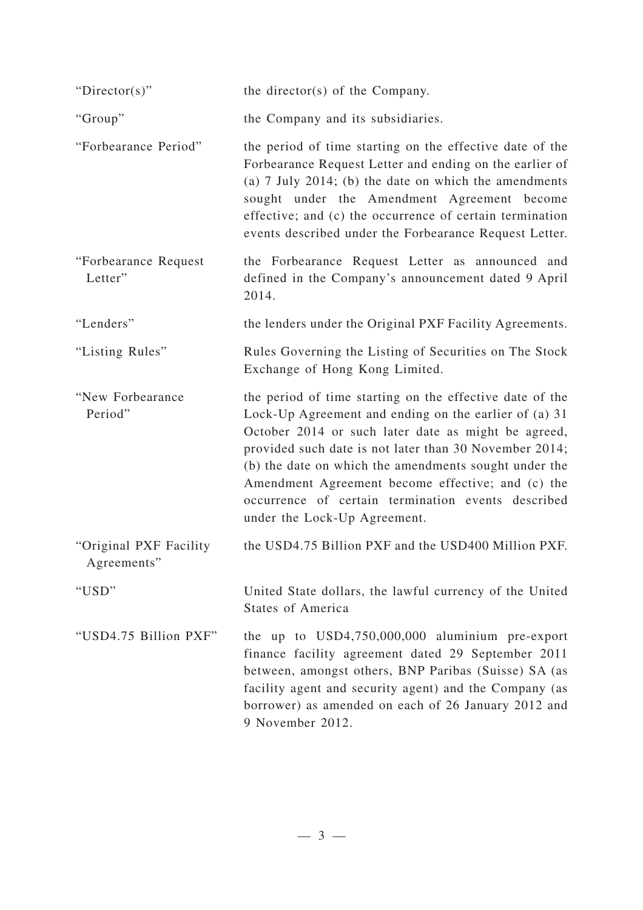| "Director(s)"                         | the director(s) of the Company.                                                                                                                                                                                                                                                                                                                                                                                                        |
|---------------------------------------|----------------------------------------------------------------------------------------------------------------------------------------------------------------------------------------------------------------------------------------------------------------------------------------------------------------------------------------------------------------------------------------------------------------------------------------|
| "Group"                               | the Company and its subsidiaries.                                                                                                                                                                                                                                                                                                                                                                                                      |
| "Forbearance Period"                  | the period of time starting on the effective date of the<br>Forbearance Request Letter and ending on the earlier of<br>(a) $7$ July 2014; (b) the date on which the amendments<br>sought under the Amendment Agreement become<br>effective; and (c) the occurrence of certain termination<br>events described under the Forbearance Request Letter.                                                                                    |
| "Forbearance Request<br>Letter"       | the Forbearance Request Letter as announced and<br>defined in the Company's announcement dated 9 April<br>2014.                                                                                                                                                                                                                                                                                                                        |
| "Lenders"                             | the lenders under the Original PXF Facility Agreements.                                                                                                                                                                                                                                                                                                                                                                                |
| "Listing Rules"                       | Rules Governing the Listing of Securities on The Stock<br>Exchange of Hong Kong Limited.                                                                                                                                                                                                                                                                                                                                               |
| "New Forbearance<br>Period"           | the period of time starting on the effective date of the<br>Lock-Up Agreement and ending on the earlier of (a) 31<br>October 2014 or such later date as might be agreed,<br>provided such date is not later than 30 November 2014;<br>(b) the date on which the amendments sought under the<br>Amendment Agreement become effective; and (c) the<br>occurrence of certain termination events described<br>under the Lock-Up Agreement. |
| "Original PXF Facility<br>Agreements" | the USD4.75 Billion PXF and the USD400 Million PXF.                                                                                                                                                                                                                                                                                                                                                                                    |
| "USD"                                 | United State dollars, the lawful currency of the United<br><b>States of America</b>                                                                                                                                                                                                                                                                                                                                                    |
| "USD4.75 Billion PXF"                 | the up to USD4,750,000,000 aluminium pre-export<br>finance facility agreement dated 29 September 2011<br>between, amongst others, BNP Paribas (Suisse) SA (as<br>facility agent and security agent) and the Company (as<br>borrower) as amended on each of 26 January 2012 and<br>9 November 2012.                                                                                                                                     |